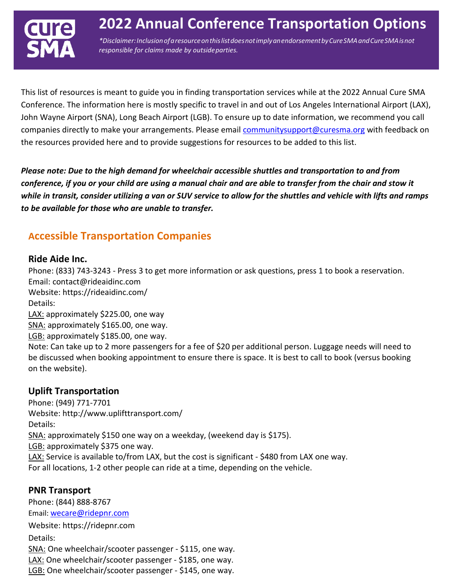

This list of resources is meant to guide you in finding transportation services while at the 2022 Annual Cure SMA Conference. The information here is mostly specific to travel in and out of Los Angeles International Airport (LAX), John Wayne Airport (SNA), Long Beach Airport (LGB). To ensure up to date information, we recommend you call companies directly to make your arrangements. Please email [communitysupport@curesma.org](mailto:communitysupport@curesma.org) with feedback on the resources provided here and to provide suggestions for resources to be added to this list.

*Please note: Due to the high demand for wheelchair accessible shuttles and transportation to and from conference, if you or your child are using a manual chair and are able to transfer from the chair and stow it while in transit, consider utilizing a van or SUV service to allow for the shuttles and vehicle with lifts and ramps to be available for those who are unable to transfer.*

# **Accessible Transportation Companies**

#### **Ride Aide Inc.**

Phone: (833) 743-3243 - Press 3 to get more information or ask questions, press 1 to book a reservation. Email: [contact@rideaidinc.com](mailto:contact@rideaidinc.com) Website: https://rideaidinc.com/ Details: LAX: approximately \$225.00, one way SNA: approximately \$165.00, one way. LGB: approximately \$185.00, one way. Note: Can take up to 2 more passengers for a fee of \$20 per additional person. Luggage needs will need to be discussed when booking appointment to ensure there is space. It is best to call to book (versus booking

#### **Uplift Transportation**

on the website).

Phone: (949) 771-7701 Website:<http://www.uplifttransport.com/> Details: SNA: approximately \$150 one way on a weekday, (weekend day is \$175). LGB: approximately \$375 one way. LAX: Service is available to/from LAX, but the cost is significant - \$480 from LAX one way. For all locations, 1-2 other people can ride at a time, depending on the vehicle.

#### **PNR Transport**

Phone: (844) 888-8767 Email: [wecare@ridepnr.com](mailto:wecare@ridepnr.com) Website: https://ridepnr.com Details: SNA: One wheelchair/scooter passenger - \$115, one way. LAX: One wheelchair/scooter passenger - \$185, one way. LGB: One wheelchair/scooter passenger - \$145, one way.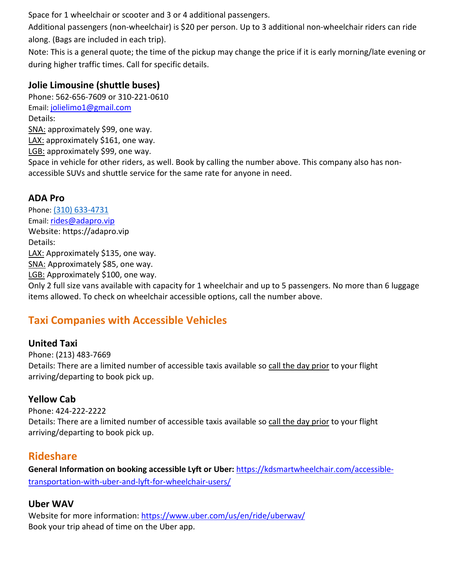Space for 1 wheelchair or scooter and 3 or 4 additional passengers.

Additional passengers (non-wheelchair) is \$20 per person. Up to 3 additional non-wheelchair riders can ride along. (Bags are included in each trip).

Note: This is a general quote; the time of the pickup may change the price if it is early morning/late evening or during higher traffic times. Call for specific details.

### **Jolie Limousine (shuttle buses)**

Phone: 562-656-7609 or 310-221-0610 Email: [jolielimo1@gmail.com](mailto:jolielimo1@gmail.com) Details: SNA: approximately \$99, one way. LAX: approximately \$161, one way. LGB: approximately \$99, one way. Space in vehicle for other riders, as well. Book by calling the number above. This company also has nonaccessible SUVs and shuttle service for the same rate for anyone in need.

## **ADA Pro**

Phone: (310) 633-4731 Email: [rides@adapro.vip](mailto:rides@adapro.vip) Website: https://adapro.vip Details: LAX: Approximately \$135, one way. SNA: Approximately \$85, one way. LGB: Approximately \$100, one way.

Only 2 full size vans available with capacity for 1 wheelchair and up to 5 passengers. No more than 6 luggage items allowed. To check on wheelchair accessible options, call the number above.

# **Taxi Companies with Accessible Vehicles**

#### **United Taxi**

Phone: (213) 483-7669 Details: There are a limited number of accessible taxis available so call the day prior to your flight arriving/departing to book pick up.

## **Yellow Cab**

Phone: 424-222-2222 Details: There are a limited number of accessible taxis available so call the day prior to your flight arriving/departing to book pick up.

# **Rideshare**

**General Information on booking accessible Lyft or Uber:** https://kdsmartwheelchair.com/accessibletransportation-with-uber-and-lyft-for-wheelchair-users/

## **Uber WAV**

Website for more information: [https://www.uber.com/us/en/ride/uberwav/](http://www.uber.com/us/en/ride/uberwav/) Book your trip ahead of time on the Uber app.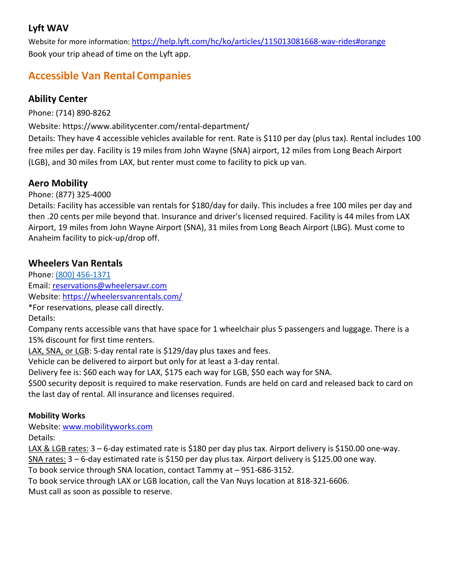## **Lyft WAV**

Website for more information: https://help.lyft.com/hc/ko/articles/115013081668-wav-rides#orange Book your trip ahead of time on the Lyft app.

# **Accessible Van Rental Companies**

## **Ability Center**

Phone: (714) 890-8262

Website: [https://www.abilitycenter.com/rental-department/](http://www.abilitycenter.com/rental-department/)

Details: They have 4 accessible vehicles available for rent. Rate is \$110 per day (plus tax). Rental includes 100 free miles per day. Facility is 19 miles from John Wayne (SNA) airport, 12 miles from Long Beach Airport (LGB), and 30 miles from LAX, but renter must come to facility to pick up van.

## **Aero Mobility**

Phone: (877) 325-4000

Details: Facility has accessible van rentals for \$180/day for daily. This includes a free 100 miles per day and then .20 cents per mile beyond that. Insurance and driver's licensed required. Facility is 44 miles from LAX Airport, 19 miles from John Wayne Airport (SNA), 31 miles from Long Beach Airport (LBG). Must come to Anaheim facility to pick-up/drop off.

### **Wheelers Van Rentals**

Phone: (800) 456-1371 Email: [reservations@wheelersavr.com](mailto:reservations@wheelersavr.com) Website:<https://wheelersvanrentals.com/> \*For reservations, please call directly. Details:

Company rents accessible vans that have space for 1 wheelchair plus 5 passengers and luggage. There is a 15% discount for first time renters.

LAX, SNA, or LGB: 5-day rental rate is \$129/day plus taxes and fees.

Vehicle can be delivered to airport but only for at least a 3-day rental.

Delivery fee is: \$60 each way for LAX, \$175 each way for LGB, \$50 each way for SNA.

\$500 security deposit is required to make reservation. Funds are held on card and released back to card on the last day of rental. All insurance and licenses required.

#### **Mobility Works**

Website: [www.mobilityworks.com](http://www.mobilityworks.com/) Details:

LAX & LGB rates: 3 – 6-day estimated rate is \$180 per day plus tax. Airport delivery is \$150.00 one-way. SNA rates: 3 – 6-day estimated rate is \$150 per day plus tax. Airport delivery is \$125.00 one way.

To book service through SNA location, contact Tammy at – 951-686-3152.

To book service through LAX or LGB location, call the Van Nuys location at 818-321-6606. Must call as soon as possible to reserve.